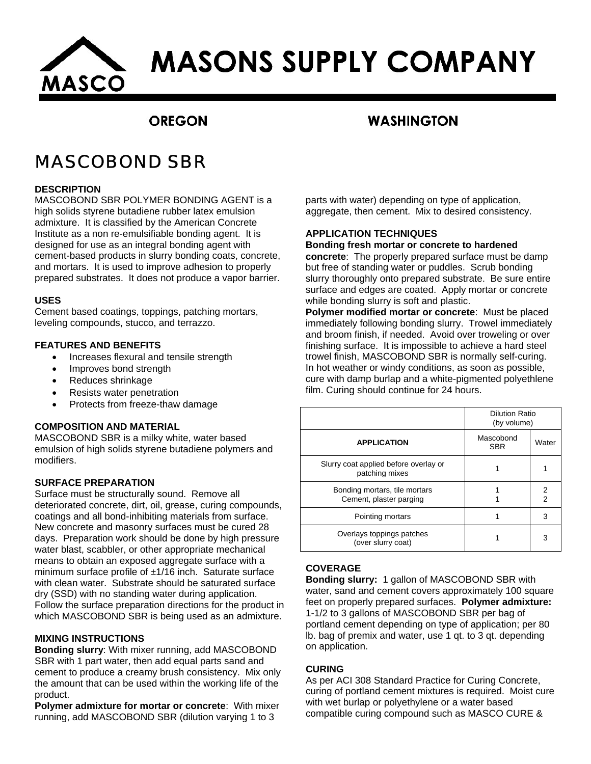

# **MASONS SUPPLY COMPANY**

## **OREGON**

### **WASHINGTON**

# MASCOBOND SBR

#### **DESCRIPTION**

MASCOBOND SBR POLYMER BONDING AGENT is a high solids styrene butadiene rubber latex emulsion admixture. It is classified by the American Concrete Institute as a non re-emulsifiable bonding agent. It is designed for use as an integral bonding agent with cement-based products in slurry bonding coats, concrete, and mortars. It is used to improve adhesion to properly prepared substrates. It does not produce a vapor barrier.

#### **USES**

Cement based coatings, toppings, patching mortars, leveling compounds, stucco, and terrazzo.

#### **FEATURES AND BENEFITS**

- Increases flexural and tensile strength
- Improves bond strength
- Reduces shrinkage
- Resists water penetration
- Protects from freeze-thaw damage

#### **COMPOSITION AND MATERIAL**

MASCOBOND SBR is a milky white, water based emulsion of high solids styrene butadiene polymers and modifiers.

#### **SURFACE PREPARATION**

Surface must be structurally sound. Remove all deteriorated concrete, dirt, oil, grease, curing compounds, coatings and all bond-inhibiting materials from surface. New concrete and masonry surfaces must be cured 28 days. Preparation work should be done by high pressure water blast, scabbler, or other appropriate mechanical means to obtain an exposed aggregate surface with a minimum surface profile of ±1/16 inch. Saturate surface with clean water. Substrate should be saturated surface dry (SSD) with no standing water during application. Follow the surface preparation directions for the product in which MASCOBOND SBR is being used as an admixture.

#### **MIXING INSTRUCTIONS**

**Bonding slurry**: With mixer running, add MASCOBOND SBR with 1 part water, then add equal parts sand and cement to produce a creamy brush consistency. Mix only the amount that can be used within the working life of the product.

**Polymer admixture for mortar or concrete**: With mixer running, add MASCOBOND SBR (dilution varying 1 to 3

parts with water) depending on type of application, aggregate, then cement. Mix to desired consistency.

#### **APPLICATION TECHNIQUES**

#### **Bonding fresh mortar or concrete to hardened**

**concrete**: The properly prepared surface must be damp but free of standing water or puddles. Scrub bonding slurry thoroughly onto prepared substrate. Be sure entire surface and edges are coated. Apply mortar or concrete while bonding slurry is soft and plastic.

**Polymer modified mortar or concrete**: Must be placed immediately following bonding slurry. Trowel immediately and broom finish, if needed. Avoid over troweling or over finishing surface. It is impossible to achieve a hard steel trowel finish, MASCOBOND SBR is normally self-curing. In hot weather or windy conditions, as soon as possible, cure with damp burlap and a white-pigmented polyethlene film. Curing should continue for 24 hours.

|                                                          | <b>Dilution Ratio</b><br>(by volume) |               |
|----------------------------------------------------------|--------------------------------------|---------------|
| <b>APPLICATION</b>                                       | Mascobond<br><b>SBR</b>              | Water         |
| Slurry coat applied before overlay or<br>patching mixes  |                                      |               |
| Bonding mortars, tile mortars<br>Cement, plaster parging |                                      | $\frac{2}{2}$ |
| Pointing mortars                                         |                                      | 3             |
| Overlays toppings patches<br>(over slurry coat)          |                                      | 3             |

#### **COVERAGE**

**Bonding slurry:** 1 gallon of MASCOBOND SBR with water, sand and cement covers approximately 100 square feet on properly prepared surfaces. **Polymer admixture:** 1-1/2 to 3 gallons of MASCOBOND SBR per bag of portland cement depending on type of application; per 80 lb. bag of premix and water, use 1 qt. to 3 qt. depending on application.

#### **CURING**

As per ACI 308 Standard Practice for Curing Concrete, curing of portland cement mixtures is required. Moist cure with wet burlap or polyethylene or a water based compatible curing compound such as MASCO CURE &